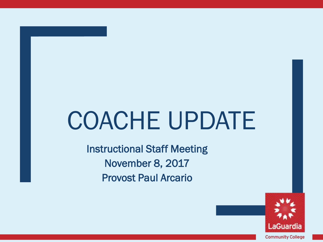# COACHE UPDATE

Instructional Staff Meeting November 8, 2017 Provost Paul Arcario

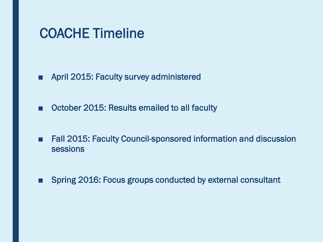#### COACHE Timeline

- April 2015: Faculty survey administered
- October 2015: Results emailed to all faculty
- Fall 2015: Faculty Council-sponsored information and discussion sessions
- Spring 2016: Focus groups conducted by external consultant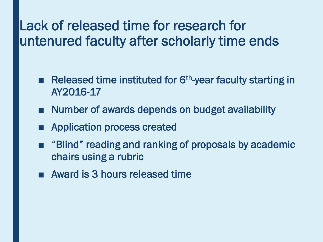# Lack of released time for research for Lack of released time for research for<br>
untenured faculty after scholarly time<br>
<br>
Released time instituted for  $6<sup>th</sup>$ -year faculty<br>
AY2016-17<br>
<br>
Number of awards depends on budget avail<br>
<br>
Application process created<br> untenured faculty after scholarly time ends

- Released time instituted for 6<sup>th</sup>-year faculty starting in AY2016-17
- Number of awards depends on budget availability
- Application process created
- "Blind" reading and ranking of proposals by academic chairs using a rubric
- Award is 3 hours released time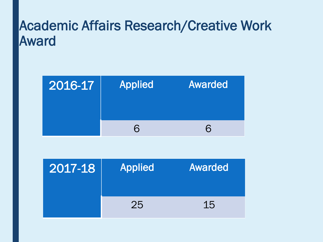## Academic Affairs Research/Creative Work Award

| 2016-17 | <b>Applied</b> | Awarded |
|---------|----------------|---------|
|         | 6              | ᠷ       |

| 2017-18 | Applied | Awarded |
|---------|---------|---------|
|         | 25      | 15      |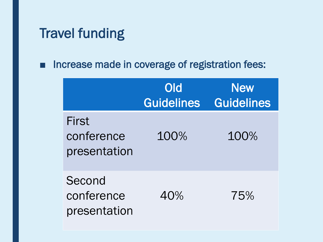### Travel funding

■ Increase made in coverage of registration fees:

|                                      | Old<br><b>Guidelines</b> | <b>New</b><br><b>Guidelines</b> |
|--------------------------------------|--------------------------|---------------------------------|
| First<br>conference<br>presentation  | 100%                     | 100%                            |
| Second<br>conference<br>presentation | 40%                      | 75%                             |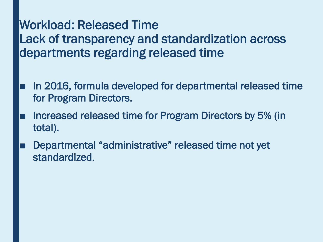#### Workload: Released Time Lack of transparency and standardization across departments regarding released time

- In 2016, formula developed for departmental released time for Program Directors.
- Increased released time for Program Directors by 5% (in total).
- Departmental "administrative" released time not yet standardized.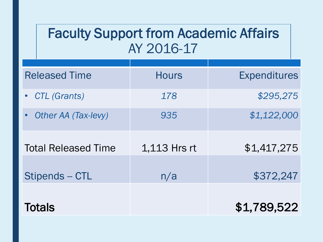## Faculty Support from Academic Affairs AY 2016-17

| <b>Released Time</b>       | <b>Hours</b> | <b>Expenditures</b> |
|----------------------------|--------------|---------------------|
| • CTL (Grants)             | 178          | \$295,275           |
| <b>Other AA (Tax-levy)</b> | 935          | \$1,122,000         |
| <b>Total Released Time</b> | 1,113 Hrs rt | \$1,417,275         |
| Stipends - CTL             | n/a          | \$372,247           |
|                            |              |                     |
| <b>Totals</b>              |              | \$1,789,522         |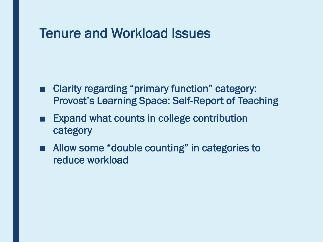#### Tenure and Workload Issues

- Provost's Learning Space: Self-Report of Teaching ■ Clarity regarding "primary function" category:
- Expand what counts in college contribution category
- Allow some "double counting" in categories to reduce workload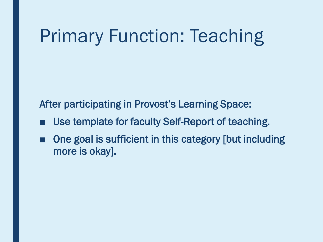# Primary Function: Teaching

After participating in Provost's Learning Space:

- Use template for faculty Self-Report of teaching.
- One goal is sufficient in this category [but including more is okay].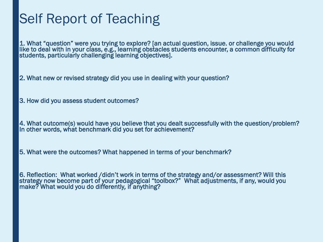1. What "question" were you trying to explore? [an actual question, issue. or challenge you would Self Report of Teaching<br>
1. What "question" were you trying to explore? [an<br>
ilke to deal with in your class, e.g., learning obstacl<br>
students, particularly challenging learning objective<br>
2. What new or revised strategy d like to deal with in your class, e.g., learning obstacles students encounter, a common difficulty for students, particularly challenging learning objectives].

2. What new or revised strategy did you use in dealing with your question?

3. How did you assess student outcomes?

 4. What outcome(s) would have you believe that you dealt successfully with the question/problem? In other words, what benchmark did you set for achievement?

5. What were the outcomes? What happened in terms of your benchmark?

6. Reflection: What worked /didn't work in terms of the strategy and/or assessment? Will this strategy now become part of your pedagogical "toolbox?" What adjustments, if any, would you make? What would you do differently*,* if anything?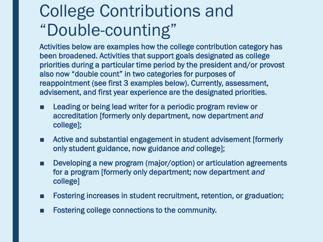# College Contributions and "Double-counting"

 Activities below are examples how the college contribution category has been broadened. Activities that support goals designated as college priorities during a particular time period by the president and/or provost also now "double count" in two categories for purposes of reappointment (see first 3 examples below). Currently, assessment, advisement, and first year experience are the designated priorities.

- Leading or being lead writer for a periodic program review or accreditation [formerly only department, now department *and*  college];
- Active and substantial engagement in student advisement [formerly only student guidance, now guidance *and* college];
- Developing a new program (major/option) or articulation agreements for a program [formerly only department; now department *and*  college]
- Fostering increases in student recruitment, retention, or graduation;
- Fostering college connections to the community.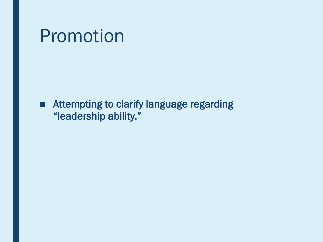# Promotion

■ Attempting to clarify language regarding "leadership ability."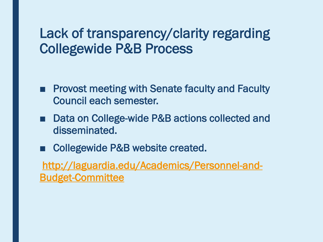#### Lack of transparency/clarity regarding Collegewide P&B Process

- Provost meeting with Senate faculty and Faculty Council each semester.
- Data on College-wide P&B actions collected and disseminated.
- Collegewide P&B website created.

[http://laguardia.edu/Academics/Personnel-and-](http://laguardia.edu/Academics/Personnel-and-Budget-Committee)Budget-Committee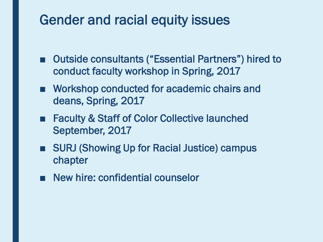# Gender and racial equity issues<br>
• Outside consultants ("Essential Partner

- Outside consultants ("Essential Partners") hired to conduct faculty workshop in Spring, 2017
- Workshop conducted for academic chairs and deans, Spring, 2017
- Faculty & Staff of Color Collective launched September, 2017
- SURJ (Showing Up for Racial Justice) campus chapter
- New hire: confidential counselor